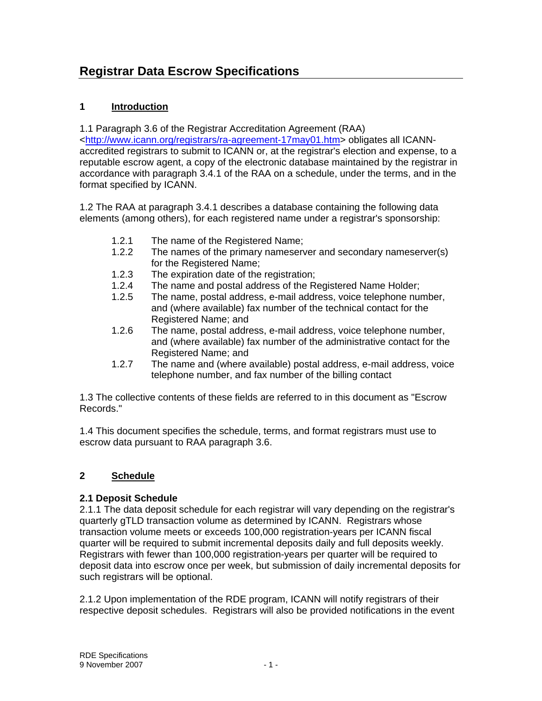# **Registrar Data Escrow Specifications**

## **1 Introduction**

1.1 Paragraph 3.6 of the Registrar Accreditation Agreement (RAA)

<http://www.icann.org/registrars/ra-agreement-17may01.htm> obligates all ICANNaccredited registrars to submit to ICANN or, at the registrar's election and expense, to a reputable escrow agent, a copy of the electronic database maintained by the registrar in accordance with paragraph 3.4.1 of the RAA on a schedule, under the terms, and in the format specified by ICANN.

1.2 The RAA at paragraph 3.4.1 describes a database containing the following data elements (among others), for each registered name under a registrar's sponsorship:

- 1.2.1 The name of the Registered Name;
- 1.2.2 The names of the primary nameserver and secondary nameserver(s) for the Registered Name;
- 1.2.3 The expiration date of the registration;
- 1.2.4 The name and postal address of the Registered Name Holder;
- 1.2.5 The name, postal address, e-mail address, voice telephone number, and (where available) fax number of the technical contact for the Registered Name; and
- 1.2.6 The name, postal address, e-mail address, voice telephone number, and (where available) fax number of the administrative contact for the Registered Name; and
- 1.2.7 The name and (where available) postal address, e-mail address, voice telephone number, and fax number of the billing contact

1.3 The collective contents of these fields are referred to in this document as "Escrow Records."

1.4 This document specifies the schedule, terms, and format registrars must use to escrow data pursuant to RAA paragraph 3.6.

### **2 Schedule**

#### **2.1 Deposit Schedule**

2.1.1 The data deposit schedule for each registrar will vary depending on the registrar's quarterly gTLD transaction volume as determined by ICANN. Registrars whose transaction volume meets or exceeds 100,000 registration-years per ICANN fiscal quarter will be required to submit incremental deposits daily and full deposits weekly. Registrars with fewer than 100,000 registration-years per quarter will be required to deposit data into escrow once per week, but submission of daily incremental deposits for such registrars will be optional.

2.1.2 Upon implementation of the RDE program, ICANN will notify registrars of their respective deposit schedules. Registrars will also be provided notifications in the event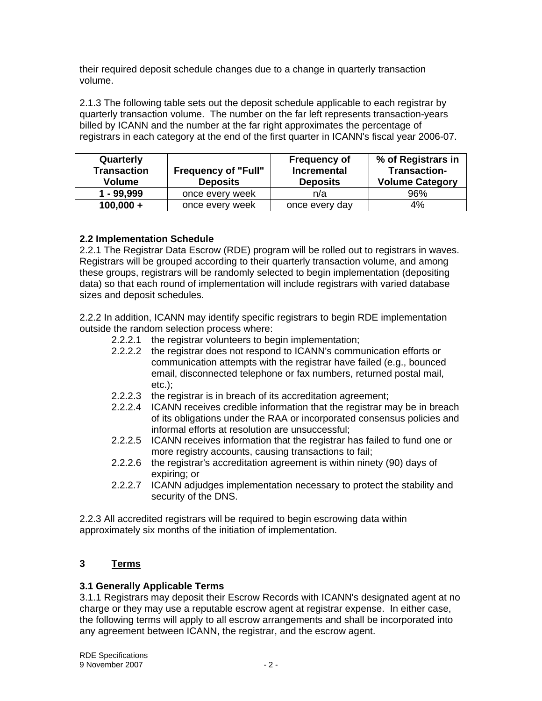their required deposit schedule changes due to a change in quarterly transaction volume.

2.1.3 The following table sets out the deposit schedule applicable to each registrar by quarterly transaction volume. The number on the far left represents transaction-years billed by ICANN and the number at the far right approximates the percentage of registrars in each category at the end of the first quarter in ICANN's fiscal year 2006-07.

| Quarterly<br><b>Transaction</b><br><b>Volume</b> | <b>Frequency of "Full"</b><br><b>Deposits</b> | <b>Frequency of</b><br><b>Incremental</b><br><b>Deposits</b> | % of Registrars in<br><b>Transaction-</b><br><b>Volume Category</b> |
|--------------------------------------------------|-----------------------------------------------|--------------------------------------------------------------|---------------------------------------------------------------------|
| 1 - 99.999                                       | once every week                               | n/a                                                          | 96%                                                                 |
| $100,000 +$                                      | once every week                               | once every day                                               | 4%                                                                  |

### **2.2 Implementation Schedule**

2.2.1 The Registrar Data Escrow (RDE) program will be rolled out to registrars in waves. Registrars will be grouped according to their quarterly transaction volume, and among these groups, registrars will be randomly selected to begin implementation (depositing data) so that each round of implementation will include registrars with varied database sizes and deposit schedules.

2.2.2 In addition, ICANN may identify specific registrars to begin RDE implementation outside the random selection process where:

- 2.2.2.1 the registrar volunteers to begin implementation;
- 2.2.2.2 the registrar does not respond to ICANN's communication efforts or communication attempts with the registrar have failed (e.g., bounced email, disconnected telephone or fax numbers, returned postal mail, etc.);
- 2.2.2.3 the registrar is in breach of its accreditation agreement;
- 2.2.2.4 ICANN receives credible information that the registrar may be in breach of its obligations under the RAA or incorporated consensus policies and informal efforts at resolution are unsuccessful;
- 2.2.2.5 ICANN receives information that the registrar has failed to fund one or more registry accounts, causing transactions to fail;
- 2.2.2.6 the registrar's accreditation agreement is within ninety (90) days of expiring; or
- 2.2.2.7 ICANN adjudges implementation necessary to protect the stability and security of the DNS.

2.2.3 All accredited registrars will be required to begin escrowing data within approximately six months of the initiation of implementation.

### **3 Terms**

### **3.1 Generally Applicable Terms**

3.1.1 Registrars may deposit their Escrow Records with ICANN's designated agent at no charge or they may use a reputable escrow agent at registrar expense. In either case, the following terms will apply to all escrow arrangements and shall be incorporated into any agreement between ICANN, the registrar, and the escrow agent.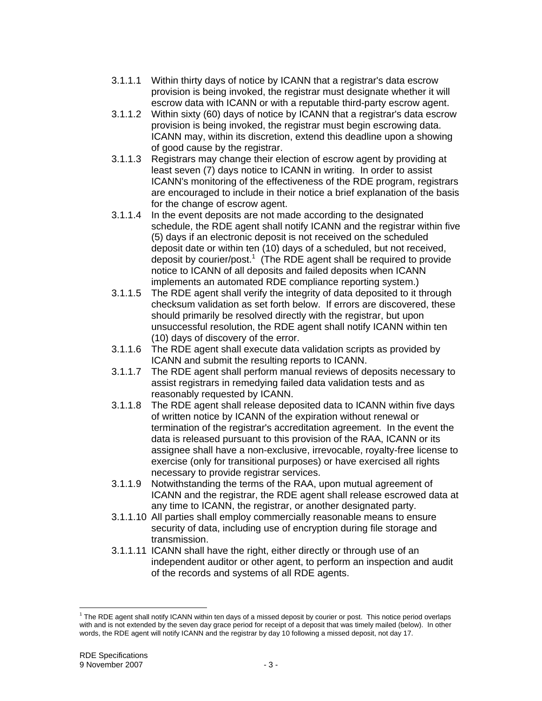- 3.1.1.1 Within thirty days of notice by ICANN that a registrar's data escrow provision is being invoked, the registrar must designate whether it will escrow data with ICANN or with a reputable third-party escrow agent.
- 3.1.1.2 Within sixty (60) days of notice by ICANN that a registrar's data escrow provision is being invoked, the registrar must begin escrowing data. ICANN may, within its discretion, extend this deadline upon a showing of good cause by the registrar.
- 3.1.1.3 Registrars may change their election of escrow agent by providing at least seven (7) days notice to ICANN in writing. In order to assist ICANN's monitoring of the effectiveness of the RDE program, registrars are encouraged to include in their notice a brief explanation of the basis for the change of escrow agent.
- 3.1.1.4 In the event deposits are not made according to the designated schedule, the RDE agent shall notify ICANN and the registrar within five (5) days if an electronic deposit is not received on the scheduled deposit date or within ten (10) days of a scheduled, but not received, deposit by courier/post.<sup>1</sup> (The RDE agent shall be required to provide notice to ICANN of all deposits and failed deposits when ICANN implements an automated RDE compliance reporting system.)
- 3.1.1.5 The RDE agent shall verify the integrity of data deposited to it through checksum validation as set forth below. If errors are discovered, these should primarily be resolved directly with the registrar, but upon unsuccessful resolution, the RDE agent shall notify ICANN within ten (10) days of discovery of the error.
- 3.1.1.6 The RDE agent shall execute data validation scripts as provided by ICANN and submit the resulting reports to ICANN.
- 3.1.1.7 The RDE agent shall perform manual reviews of deposits necessary to assist registrars in remedying failed data validation tests and as reasonably requested by ICANN.
- 3.1.1.8 The RDE agent shall release deposited data to ICANN within five days of written notice by ICANN of the expiration without renewal or termination of the registrar's accreditation agreement. In the event the data is released pursuant to this provision of the RAA, ICANN or its assignee shall have a non-exclusive, irrevocable, royalty-free license to exercise (only for transitional purposes) or have exercised all rights necessary to provide registrar services.
- 3.1.1.9 Notwithstanding the terms of the RAA, upon mutual agreement of ICANN and the registrar, the RDE agent shall release escrowed data at any time to ICANN, the registrar, or another designated party.
- 3.1.1.10 All parties shall employ commercially reasonable means to ensure security of data, including use of encryption during file storage and transmission.
- 3.1.1.11 ICANN shall have the right, either directly or through use of an independent auditor or other agent, to perform an inspection and audit of the records and systems of all RDE agents.

 $\overline{a}$ <sup>1</sup> The RDE agent shall notify ICANN within ten days of a missed deposit by courier or post. This notice period overlaps with and is not extended by the seven day grace period for receipt of a deposit that was timely mailed (below). In other words, the RDE agent will notify ICANN and the registrar by day 10 following a missed deposit, not day 17.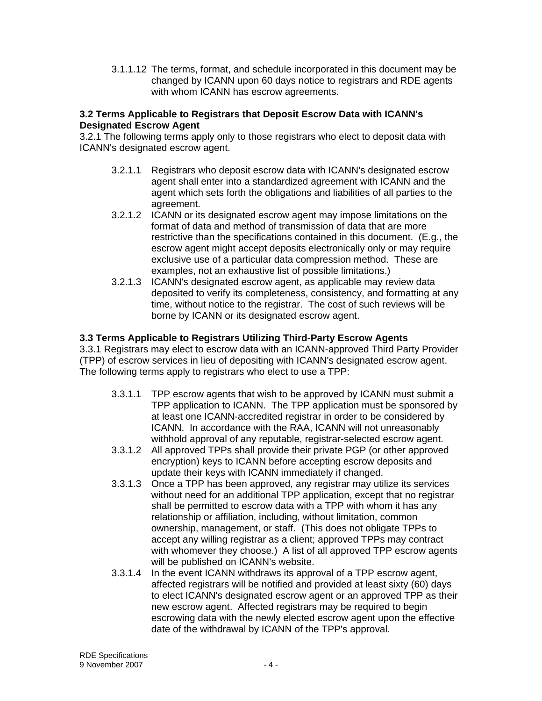3.1.1.12 The terms, format, and schedule incorporated in this document may be changed by ICANN upon 60 days notice to registrars and RDE agents with whom ICANN has escrow agreements.

#### **3.2 Terms Applicable to Registrars that Deposit Escrow Data with ICANN's Designated Escrow Agent**

3.2.1 The following terms apply only to those registrars who elect to deposit data with ICANN's designated escrow agent.

- 3.2.1.1 Registrars who deposit escrow data with ICANN's designated escrow agent shall enter into a standardized agreement with ICANN and the agent which sets forth the obligations and liabilities of all parties to the agreement.
- 3.2.1.2 ICANN or its designated escrow agent may impose limitations on the format of data and method of transmission of data that are more restrictive than the specifications contained in this document. (E.g., the escrow agent might accept deposits electronically only or may require exclusive use of a particular data compression method. These are examples, not an exhaustive list of possible limitations.)
- 3.2.1.3 ICANN's designated escrow agent, as applicable may review data deposited to verify its completeness, consistency, and formatting at any time, without notice to the registrar. The cost of such reviews will be borne by ICANN or its designated escrow agent.

#### **3.3 Terms Applicable to Registrars Utilizing Third-Party Escrow Agents**

3.3.1 Registrars may elect to escrow data with an ICANN-approved Third Party Provider (TPP) of escrow services in lieu of depositing with ICANN's designated escrow agent. The following terms apply to registrars who elect to use a TPP:

- 3.3.1.1 TPP escrow agents that wish to be approved by ICANN must submit a TPP application to ICANN. The TPP application must be sponsored by at least one ICANN-accredited registrar in order to be considered by ICANN. In accordance with the RAA, ICANN will not unreasonably withhold approval of any reputable, registrar-selected escrow agent.
- 3.3.1.2 All approved TPPs shall provide their private PGP (or other approved encryption) keys to ICANN before accepting escrow deposits and update their keys with ICANN immediately if changed.
- 3.3.1.3 Once a TPP has been approved, any registrar may utilize its services without need for an additional TPP application, except that no registrar shall be permitted to escrow data with a TPP with whom it has any relationship or affiliation, including, without limitation, common ownership, management, or staff. (This does not obligate TPPs to accept any willing registrar as a client; approved TPPs may contract with whomever they choose.) A list of all approved TPP escrow agents will be published on ICANN's website.
- 3.3.1.4 In the event ICANN withdraws its approval of a TPP escrow agent, affected registrars will be notified and provided at least sixty (60) days to elect ICANN's designated escrow agent or an approved TPP as their new escrow agent. Affected registrars may be required to begin escrowing data with the newly elected escrow agent upon the effective date of the withdrawal by ICANN of the TPP's approval.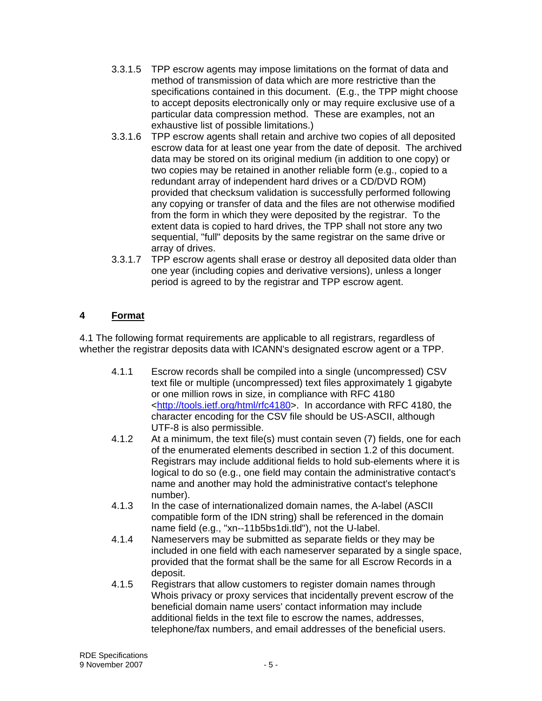- 3.3.1.5 TPP escrow agents may impose limitations on the format of data and method of transmission of data which are more restrictive than the specifications contained in this document. (E.g., the TPP might choose to accept deposits electronically only or may require exclusive use of a particular data compression method. These are examples, not an exhaustive list of possible limitations.)
- 3.3.1.6 TPP escrow agents shall retain and archive two copies of all deposited escrow data for at least one year from the date of deposit. The archived data may be stored on its original medium (in addition to one copy) or two copies may be retained in another reliable form (e.g., copied to a redundant array of independent hard drives or a CD/DVD ROM) provided that checksum validation is successfully performed following any copying or transfer of data and the files are not otherwise modified from the form in which they were deposited by the registrar. To the extent data is copied to hard drives, the TPP shall not store any two sequential, "full" deposits by the same registrar on the same drive or array of drives.
- 3.3.1.7 TPP escrow agents shall erase or destroy all deposited data older than one year (including copies and derivative versions), unless a longer period is agreed to by the registrar and TPP escrow agent.

## **4 Format**

4.1 The following format requirements are applicable to all registrars, regardless of whether the registrar deposits data with ICANN's designated escrow agent or a TPP.

- 4.1.1 Escrow records shall be compiled into a single (uncompressed) CSV text file or multiple (uncompressed) text files approximately 1 gigabyte or one million rows in size, in compliance with RFC 4180 <http://tools.ietf.org/html/rfc4180>. In accordance with RFC 4180, the character encoding for the CSV file should be US-ASCII, although UTF-8 is also permissible.
- 4.1.2 At a minimum, the text file(s) must contain seven (7) fields, one for each of the enumerated elements described in section 1.2 of this document. Registrars may include additional fields to hold sub-elements where it is logical to do so (e.g., one field may contain the administrative contact's name and another may hold the administrative contact's telephone number).
- 4.1.3 In the case of internationalized domain names, the A-label (ASCII compatible form of the IDN string) shall be referenced in the domain name field (e.g., "xn--11b5bs1di.tld"), not the U-label.
- 4.1.4 Nameservers may be submitted as separate fields or they may be included in one field with each nameserver separated by a single space, provided that the format shall be the same for all Escrow Records in a deposit.
- 4.1.5 Registrars that allow customers to register domain names through Whois privacy or proxy services that incidentally prevent escrow of the beneficial domain name users' contact information may include additional fields in the text file to escrow the names, addresses, telephone/fax numbers, and email addresses of the beneficial users.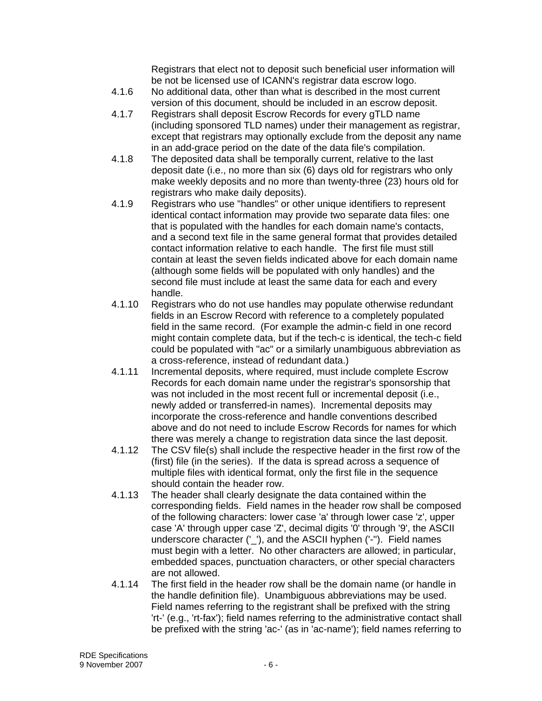Registrars that elect not to deposit such beneficial user information will be not be licensed use of ICANN's registrar data escrow logo.

- 4.1.6 No additional data, other than what is described in the most current version of this document, should be included in an escrow deposit.
- 4.1.7 Registrars shall deposit Escrow Records for every gTLD name (including sponsored TLD names) under their management as registrar, except that registrars may optionally exclude from the deposit any name in an add-grace period on the date of the data file's compilation.
- 4.1.8 The deposited data shall be temporally current, relative to the last deposit date (i.e., no more than six (6) days old for registrars who only make weekly deposits and no more than twenty-three (23) hours old for registrars who make daily deposits).
- 4.1.9 Registrars who use "handles" or other unique identifiers to represent identical contact information may provide two separate data files: one that is populated with the handles for each domain name's contacts, and a second text file in the same general format that provides detailed contact information relative to each handle. The first file must still contain at least the seven fields indicated above for each domain name (although some fields will be populated with only handles) and the second file must include at least the same data for each and every handle.
- 4.1.10 Registrars who do not use handles may populate otherwise redundant fields in an Escrow Record with reference to a completely populated field in the same record. (For example the admin-c field in one record might contain complete data, but if the tech-c is identical, the tech-c field could be populated with "ac" or a similarly unambiguous abbreviation as a cross-reference, instead of redundant data.)
- 4.1.11 Incremental deposits, where required, must include complete Escrow Records for each domain name under the registrar's sponsorship that was not included in the most recent full or incremental deposit (i.e., newly added or transferred-in names). Incremental deposits may incorporate the cross-reference and handle conventions described above and do not need to include Escrow Records for names for which there was merely a change to registration data since the last deposit.
- 4.1.12 The CSV file(s) shall include the respective header in the first row of the (first) file (in the series). If the data is spread across a sequence of multiple files with identical format, only the first file in the sequence should contain the header row.
- 4.1.13 The header shall clearly designate the data contained within the corresponding fields. Field names in the header row shall be composed of the following characters: lower case 'a' through lower case 'z', upper case 'A' through upper case 'Z', decimal digits '0' through '9', the ASCII underscore character ('\_'), and the ASCII hyphen ('-''). Field names must begin with a letter. No other characters are allowed; in particular, embedded spaces, punctuation characters, or other special characters are not allowed.
- 4.1.14 The first field in the header row shall be the domain name (or handle in the handle definition file). Unambiguous abbreviations may be used. Field names referring to the registrant shall be prefixed with the string 'rt-' (e.g., 'rt-fax'); field names referring to the administrative contact shall be prefixed with the string 'ac-' (as in 'ac-name'); field names referring to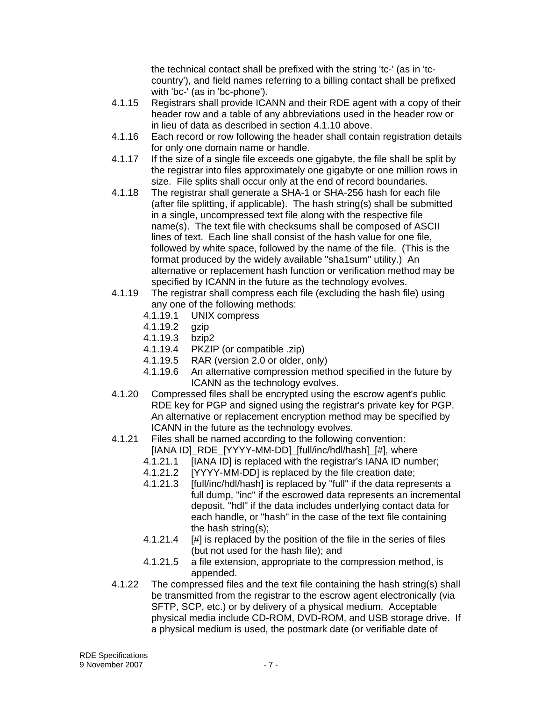the technical contact shall be prefixed with the string 'tc-' (as in 'tccountry'), and field names referring to a billing contact shall be prefixed with 'bc-' (as in 'bc-phone').

- 4.1.15 Registrars shall provide ICANN and their RDE agent with a copy of their header row and a table of any abbreviations used in the header row or in lieu of data as described in section 4.1.10 above.
- 4.1.16 Each record or row following the header shall contain registration details for only one domain name or handle.
- 4.1.17 If the size of a single file exceeds one gigabyte, the file shall be split by the registrar into files approximately one gigabyte or one million rows in size. File splits shall occur only at the end of record boundaries.
- 4.1.18 The registrar shall generate a SHA-1 or SHA-256 hash for each file (after file splitting, if applicable). The hash string(s) shall be submitted in a single, uncompressed text file along with the respective file name(s). The text file with checksums shall be composed of ASCII lines of text. Each line shall consist of the hash value for one file, followed by white space, followed by the name of the file. (This is the format produced by the widely available "sha1sum" utility.) An alternative or replacement hash function or verification method may be specified by ICANN in the future as the technology evolves.
- 4.1.19 The registrar shall compress each file (excluding the hash file) using any one of the following methods:
	- 4.1.19.1 UNIX compress
	- 4.1.19.2 gzip
	- 4.1.19.3 bzip2
	- 4.1.19.4 PKZIP (or compatible .zip)
	- 4.1.19.5 RAR (version 2.0 or older, only)
	- 4.1.19.6 An alternative compression method specified in the future by ICANN as the technology evolves.
- 4.1.20 Compressed files shall be encrypted using the escrow agent's public RDE key for PGP and signed using the registrar's private key for PGP. An alternative or replacement encryption method may be specified by ICANN in the future as the technology evolves.
- 4.1.21 Files shall be named according to the following convention:
	- [IANA ID]\_RDE\_[YYYY-MM-DD]\_[full/inc/hdl/hash]\_[#], where
	- 4.1.21.1 [IANA ID] is replaced with the registrar's IANA ID number;
	- 4.1.21.2 [YYYY-MM-DD] is replaced by the file creation date;
	- 4.1.21.3 [full/inc/hdl/hash] is replaced by "full" if the data represents a full dump, "inc" if the escrowed data represents an incremental deposit, "hdl" if the data includes underlying contact data for each handle, or "hash" in the case of the text file containing the hash string(s);
	- 4.1.21.4 [#] is replaced by the position of the file in the series of files (but not used for the hash file); and
	- 4.1.21.5 a file extension, appropriate to the compression method, is appended.
- 4.1.22 The compressed files and the text file containing the hash string(s) shall be transmitted from the registrar to the escrow agent electronically (via SFTP, SCP, etc.) or by delivery of a physical medium. Acceptable physical media include CD-ROM, DVD-ROM, and USB storage drive. If a physical medium is used, the postmark date (or verifiable date of